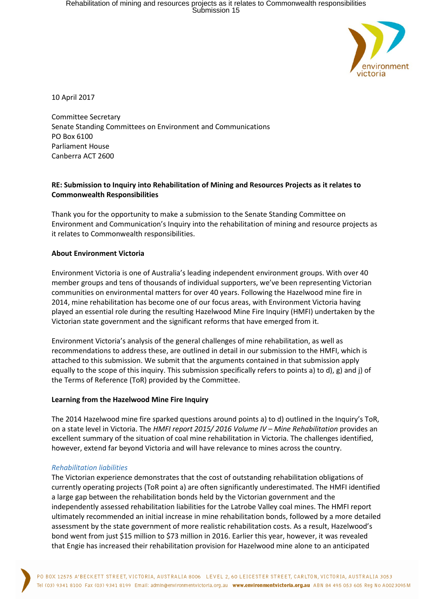

10 April 2017

Committee Secretary Senate Standing Committees on Environment and Communications PO Box 6100 Parliament House Canberra ACT 2600

## **RE: Submission to Inquiry into Rehabilitation of Mining and Resources Projects as it relates to Commonwealth Responsibilities**

Thank you for the opportunity to make a submission to the Senate Standing Committee on Environment and Communication's Inquiry into the rehabilitation of mining and resource projects as it relates to Commonwealth responsibilities.

### **About Environment Victoria**

Environment Victoria is one of Australia's leading independent environment groups. With over 40 member groups and tens of thousands of individual supporters, we've been representing Victorian communities on environmental matters for over 40 years. Following the Hazelwood mine fire in 2014, mine rehabilitation has become one of our focus areas, with Environment Victoria having played an essential role during the resulting Hazelwood Mine Fire Inquiry (HMFI) undertaken by the Victorian state government and the significant reforms that have emerged from it.

Environment Victoria's analysis of the general challenges of mine rehabilitation, as well as recommendations to address these, are outlined in detail in our submission to the HMFI, which is attached to this submission. We submit that the arguments contained in that submission apply equally to the scope of this inquiry. This submission specifically refers to points a) to d), g) and j) of the Terms of Reference (ToR) provided by the Committee.

#### **Learning from the Hazelwood Mine Fire Inquiry**

The 2014 Hazelwood mine fire sparked questions around points a) to d) outlined in the Inquiry's ToR, on a state level in Victoria. The *HMFI report 2015/ 2016 Volume IV – Mine Rehabilitation* provides an excellent summary of the situation of coal mine rehabilitation in Victoria. The challenges identified, however, extend far beyond Victoria and will have relevance to mines across the country.

### *Rehabilitation liabilities*

The Victorian experience demonstrates that the cost of outstanding rehabilitation obligations of currently operating projects (ToR point a) are often significantly underestimated. The HMFI identified a large gap between the rehabilitation bonds held by the Victorian government and the independently assessed rehabilitation liabilities for the Latrobe Valley coal mines. The HMFI report ultimately recommended an initial increase in mine rehabilitation bonds, followed by a more detailed assessment by the state government of more realistic rehabilitation costs. As a result, Hazelwood's bond went from just \$15 million to \$73 million in 2016. Earlier this year, however, it was revealed that Engie has increased their rehabilitation provision for Hazelwood mine alone to an anticipated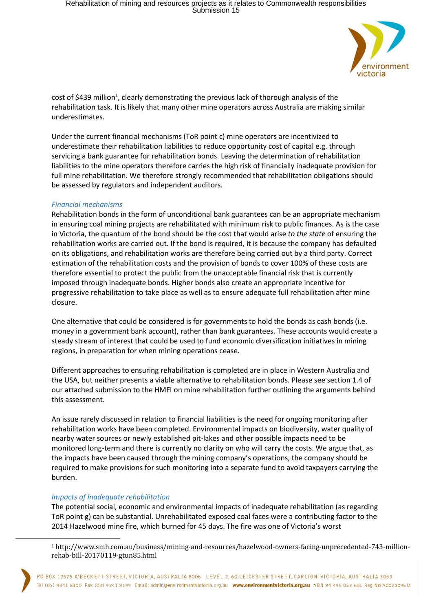

cost of \$439 million<sup>1</sup>, clearly demonstrating the previous lack of thorough analysis of the rehabilitation task. It is likely that many other mine operators across Australia are making similar underestimates.

Under the current financial mechanisms (ToR point c) mine operators are incentivized to underestimate their rehabilitation liabilities to reduce opportunity cost of capital e.g. through servicing a bank guarantee for rehabilitation bonds. Leaving the determination of rehabilitation liabilities to the mine operators therefore carries the high risk of financially inadequate provision for full mine rehabilitation. We therefore strongly recommended that rehabilitation obligations should be assessed by regulators and independent auditors.

### *Financial mechanisms*

Rehabilitation bonds in the form of unconditional bank guarantees can be an appropriate mechanism in ensuring coal mining projects are rehabilitated with minimum risk to public finances. As is the case in Victoria, the quantum of the bond should be the cost that would arise *to the state* of ensuring the rehabilitation works are carried out. If the bond is required, it is because the company has defaulted on its obligations, and rehabilitation works are therefore being carried out by a third party. Correct estimation of the rehabilitation costs and the provision of bonds to cover 100% of these costs are therefore essential to protect the public from the unacceptable financial risk that is currently imposed through inadequate bonds. Higher bonds also create an appropriate incentive for progressive rehabilitation to take place as well as to ensure adequate full rehabilitation after mine closure.

One alternative that could be considered is for governments to hold the bonds as cash bonds (i.e. money in a government bank account), rather than bank guarantees. These accounts would create a steady stream of interest that could be used to fund economic diversification initiatives in mining regions, in preparation for when mining operations cease.

Different approaches to ensuring rehabilitation is completed are in place in Western Australia and the USA, but neither presents a viable alternative to rehabilitation bonds. Please see section 1.4 of our attached submission to the HMFI on mine rehabilitation further outlining the arguments behind this assessment.

An issue rarely discussed in relation to financial liabilities is the need for ongoing monitoring after rehabilitation works have been completed. Environmental impacts on biodiversity, water quality of nearby water sources or newly established pit-lakes and other possible impacts need to be monitored long-term and there is currently no clarity on who will carry the costs. We argue that, as the impacts have been caused through the mining company's operations, the company should be required to make provisions for such monitoring into a separate fund to avoid taxpayers carrying the burden.

# *Impacts of inadequate rehabilitation*

 $\overline{a}$ 

The potential social, economic and environmental impacts of inadequate rehabilitation (as regarding ToR point g) can be substantial. Unrehabilitated exposed coal faces were a contributing factor to the 2014 Hazelwood mine fire, which burned for 45 days. The fire was one of Victoria's worst

<sup>1</sup> http://www.smh.com.au/business/mining-and-resources/hazelwood-owners-facing-unprecedented-743-millionrehab-bill-20170119-gtun85.html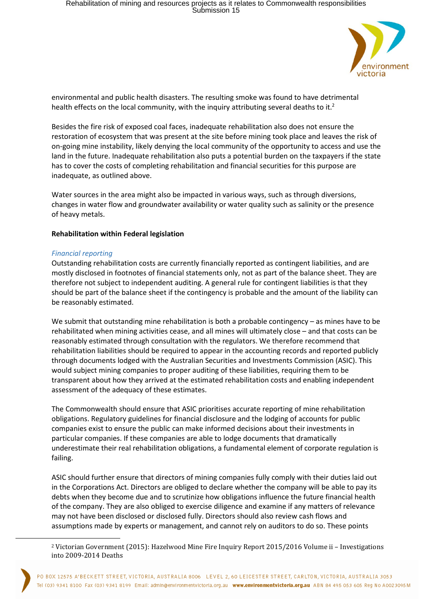

environmental and public health disasters. The resulting smoke was found to have detrimental health effects on the local community, with the inquiry attributing several deaths to it.<sup>2</sup>

Besides the fire risk of exposed coal faces, inadequate rehabilitation also does not ensure the restoration of ecosystem that was present at the site before mining took place and leaves the risk of on-going mine instability, likely denying the local community of the opportunity to access and use the land in the future. Inadequate rehabilitation also puts a potential burden on the taxpayers if the state has to cover the costs of completing rehabilitation and financial securities for this purpose are inadequate, as outlined above.

Water sources in the area might also be impacted in various ways, such as through diversions, changes in water flow and groundwater availability or water quality such as salinity or the presence of heavy metals.

### **Rehabilitation within Federal legislation**

### *Financial reporting*

 $\overline{a}$ 

Outstanding rehabilitation costs are currently financially reported as contingent liabilities, and are mostly disclosed in footnotes of financial statements only, not as part of the balance sheet. They are therefore not subject to independent auditing. A general rule for contingent liabilities is that they should be part of the balance sheet if the contingency is probable and the amount of the liability can be reasonably estimated.

We submit that outstanding mine rehabilitation is both a probable contingency – as mines have to be rehabilitated when mining activities cease, and all mines will ultimately close – and that costs can be reasonably estimated through consultation with the regulators. We therefore recommend that rehabilitation liabilities should be required to appear in the accounting records and reported publicly through documents lodged with the Australian Securities and Investments Commission (ASIC). This would subject mining companies to proper auditing of these liabilities, requiring them to be transparent about how they arrived at the estimated rehabilitation costs and enabling independent assessment of the adequacy of these estimates.

The Commonwealth should ensure that ASIC prioritises accurate reporting of mine rehabilitation obligations. Regulatory guidelines for financial disclosure and the lodging of accounts for public companies exist to ensure the public can make informed decisions about their investments in particular companies. If these companies are able to lodge documents that dramatically underestimate their real rehabilitation obligations, a fundamental element of corporate regulation is failing.

ASIC should further ensure that directors of mining companies fully comply with their duties laid out in the Corporations Act. Directors are obliged to declare whether the company will be able to pay its debts when they become due and to scrutinize how obligations influence the future financial health of the company. They are also obliged to exercise diligence and examine if any matters of relevance may not have been disclosed or disclosed fully. Directors should also review cash flows and assumptions made by experts or management, and cannot rely on auditors to do so. These points

<sup>2</sup> Victorian Government (2015): Hazelwood Mine Fire Inquiry Report 2015/2016 Volume ii – Investigations into 2009-2014 Deaths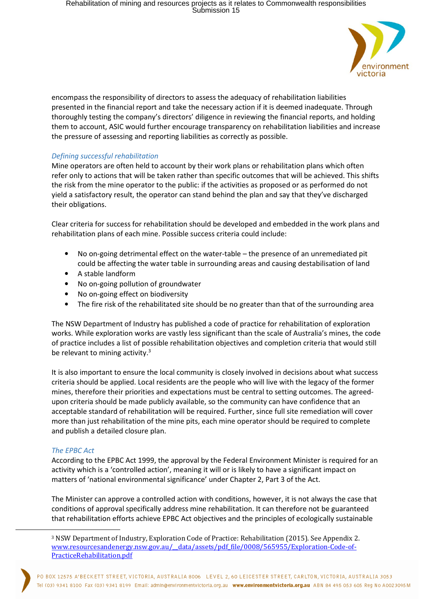

encompass the responsibility of directors to assess the adequacy of rehabilitation liabilities presented in the financial report and take the necessary action if it is deemed inadequate. Through thoroughly testing the company's directors' diligence in reviewing the financial reports, and holding them to account, ASIC would further encourage transparency on rehabilitation liabilities and increase the pressure of assessing and reporting liabilities as correctly as possible.

# *Defining successful rehabilitation*

Mine operators are often held to account by their work plans or rehabilitation plans which often refer only to actions that will be taken rather than specific outcomes that will be achieved. This shifts the risk from the mine operator to the public: if the activities as proposed or as performed do not yield a satisfactory result, the operator can stand behind the plan and say that they've discharged their obligations.

Clear criteria for success for rehabilitation should be developed and embedded in the work plans and rehabilitation plans of each mine. Possible success criteria could include:

- No on-going detrimental effect on the water-table the presence of an unremediated pit could be affecting the water table in surrounding areas and causing destabilisation of land
- A stable landform
- No on-going pollution of groundwater
- No on-going effect on biodiversity
- The fire risk of the rehabilitated site should be no greater than that of the surrounding area

The NSW Department of Industry has published a code of practice for rehabilitation of exploration works. While exploration works are vastly less significant than the scale of Australia's mines, the code of practice includes a list of possible rehabilitation objectives and completion criteria that would still be relevant to mining activity. $3$ 

It is also important to ensure the local community is closely involved in decisions about what success criteria should be applied. Local residents are the people who will live with the legacy of the former mines, therefore their priorities and expectations must be central to setting outcomes. The agreedupon criteria should be made publicly available, so the community can have confidence that an acceptable standard of rehabilitation will be required. Further, since full site remediation will cover more than just rehabilitation of the mine pits, each mine operator should be required to complete and publish a detailed closure plan.

### *The EPBC Act*

 $\overline{a}$ 

According to the EPBC Act 1999, the approval by the Federal Environment Minister is required for an activity which is a 'controlled action', meaning it will or is likely to have a significant impact on matters of 'national environmental significance' under Chapter 2, Part 3 of the Act.

The Minister can approve a controlled action with conditions, however, it is not always the case that conditions of approval specifically address mine rehabilitation. It can therefore not be guaranteed that rehabilitation efforts achieve EPBC Act objectives and the principles of ecologically sustainable

<sup>3</sup> NSW Department of Industry, Exploration Code of Practice: Rehabilitation (2015). See Appendix 2. www.resourcesandenergy.nsw.gov.au/\_\_data/assets/pdf\_file/0008/565955/Exploration-Code-of-PracticeRehabilitation.pdf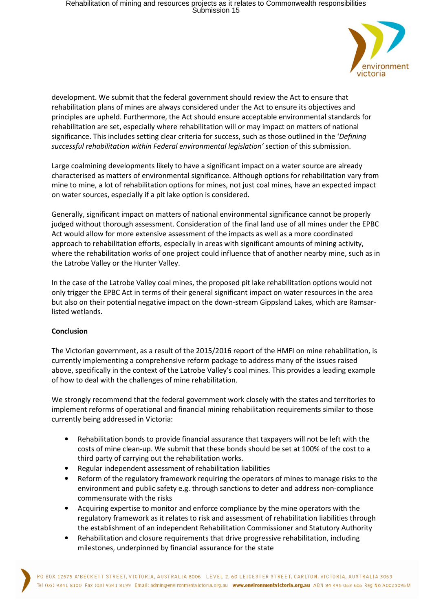

development. We submit that the federal government should review the Act to ensure that rehabilitation plans of mines are always considered under the Act to ensure its objectives and principles are upheld. Furthermore, the Act should ensure acceptable environmental standards for rehabilitation are set, especially where rehabilitation will or may impact on matters of national significance. This includes setting clear criteria for success, such as those outlined in the '*Defining successful rehabilitation within Federal environmental legislation'* section of this submission.

Large coalmining developments likely to have a significant impact on a water source are already characterised as matters of environmental significance. Although options for rehabilitation vary from mine to mine, a lot of rehabilitation options for mines, not just coal mines, have an expected impact on water sources, especially if a pit lake option is considered.

Generally, significant impact on matters of national environmental significance cannot be properly judged without thorough assessment. Consideration of the final land use of all mines under the EPBC Act would allow for more extensive assessment of the impacts as well as a more coordinated approach to rehabilitation efforts, especially in areas with significant amounts of mining activity, where the rehabilitation works of one project could influence that of another nearby mine, such as in the Latrobe Valley or the Hunter Valley.

In the case of the Latrobe Valley coal mines, the proposed pit lake rehabilitation options would not only trigger the EPBC Act in terms of their general significant impact on water resources in the area but also on their potential negative impact on the down-stream Gippsland Lakes, which are Ramsarlisted wetlands.

# **Conclusion**

The Victorian government, as a result of the 2015/2016 report of the HMFI on mine rehabilitation, is currently implementing a comprehensive reform package to address many of the issues raised above, specifically in the context of the Latrobe Valley's coal mines. This provides a leading example of how to deal with the challenges of mine rehabilitation.

We strongly recommend that the federal government work closely with the states and territories to implement reforms of operational and financial mining rehabilitation requirements similar to those currently being addressed in Victoria:

- Rehabilitation bonds to provide financial assurance that taxpayers will not be left with the costs of mine clean-up. We submit that these bonds should be set at 100% of the cost to a third party of carrying out the rehabilitation works.
- Regular independent assessment of rehabilitation liabilities
- Reform of the regulatory framework requiring the operators of mines to manage risks to the environment and public safety e.g. through sanctions to deter and address non-compliance commensurate with the risks
- Acquiring expertise to monitor and enforce compliance by the mine operators with the regulatory framework as it relates to risk and assessment of rehabilitation liabilities through the establishment of an independent Rehabilitation Commissioner and Statutory Authority
- Rehabilitation and closure requirements that drive progressive rehabilitation, including milestones, underpinned by financial assurance for the state